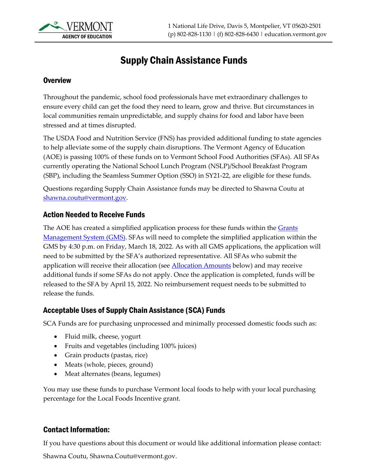

# Supply Chain Assistance Funds

### **Overview**

Throughout the pandemic, school food professionals have met extraordinary challenges to ensure every child can get the food they need to learn, grow and thrive. But circumstances in local communities remain unpredictable, and supply chains for food and labor have been stressed and at times disrupted.

The USDA Food and Nutrition Service (FNS) has provided additional funding to state agencies to help alleviate some of the supply chain disruptions. The Vermont Agency of Education (AOE) is passing 100% of these funds on to Vermont School Food Authorities (SFAs). All SFAs currently operating the National School Lunch Program (NSLP)/School Breakfast Program (SBP), including the Seamless Summer Option (SSO) in SY21-22, are eligible for these funds.

Questions regarding Supply Chain Assistance funds may be directed to Shawna Coutu at [shawna.coutu@vermont.gov.](mailto:shawna.coutu@vermont.gov)

### Action Needed to Receive Funds

The AOE has created a simplified application process for these funds within the Grants [Management System \(GMS\).](https://vtaoe.mtwgms.org/vermontgmsweb/logon.aspx) SFAs will need to complete the simplified application within the GMS by 4:30 p.m. on Friday, March 18, 2022. As with all GMS applications, the application will need to be submitted by the SFA's authorized representative. All SFAs who submit the application will receive their allocation (see **Allocation Amounts** below) and may receive additional funds if some SFAs do not apply. Once the application is completed, funds will be released to the SFA by April 15, 2022. No reimbursement request needs to be submitted to release the funds.

### Acceptable Uses of Supply Chain Assistance (SCA) Funds

SCA Funds are for purchasing unprocessed and minimally processed domestic foods such as:

- Fluid milk, cheese, yogurt
- Fruits and vegetables (including 100% juices)
- Grain products (pastas, rice)
- Meats (whole, pieces, ground)
- Meat alternates (beans, legumes)

You may use these funds to purchase Vermont local foods to help with your local purchasing percentage for the Local Foods Incentive grant.

## Contact Information:

If you have questions about this document or would like additional information please contact:

Shawna Coutu, Shawna.Coutu@vermont.gov.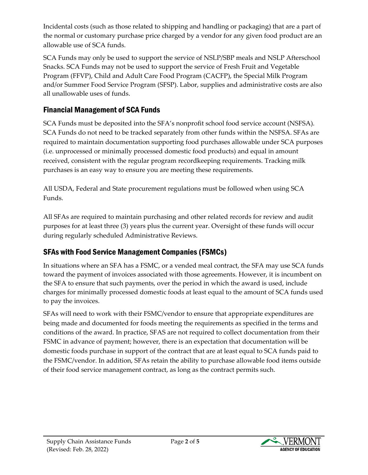Incidental costs (such as those related to shipping and handling or packaging) that are a part of the normal or customary purchase price charged by a vendor for any given food product are an allowable use of SCA funds.

SCA Funds may only be used to support the service of NSLP/SBP meals and NSLP Afterschool Snacks. SCA Funds may not be used to support the service of Fresh Fruit and Vegetable Program (FFVP), Child and Adult Care Food Program (CACFP), the Special Milk Program and/or Summer Food Service Program (SFSP). Labor, supplies and administrative costs are also all unallowable uses of funds.

# Financial Management of SCA Funds

SCA Funds must be deposited into the SFA's nonprofit school food service account (NSFSA). SCA Funds do not need to be tracked separately from other funds within the NSFSA. SFAs are required to maintain documentation supporting food purchases allowable under SCA purposes (i.e. unprocessed or minimally processed domestic food products) and equal in amount received, consistent with the regular program recordkeeping requirements. Tracking milk purchases is an easy way to ensure you are meeting these requirements.

All USDA, Federal and State procurement regulations must be followed when using SCA Funds.

All SFAs are required to maintain purchasing and other related records for review and audit purposes for at least three (3) years plus the current year. Oversight of these funds will occur during regularly scheduled Administrative Reviews.

# SFAs with Food Service Management Companies (FSMCs)

In situations where an SFA has a FSMC, or a vended meal contract, the SFA may use SCA funds toward the payment of invoices associated with those agreements. However, it is incumbent on the SFA to ensure that such payments, over the period in which the award is used, include charges for minimally processed domestic foods at least equal to the amount of SCA funds used to pay the invoices.

SFAs will need to work with their FSMC/vendor to ensure that appropriate expenditures are being made and documented for foods meeting the requirements as specified in the terms and conditions of the award. In practice, SFAS are not required to collect documentation from their FSMC in advance of payment; however, there is an expectation that documentation will be domestic foods purchase in support of the contract that are at least equal to SCA funds paid to the FSMC/vendor. In addition, SFAs retain the ability to purchase allowable food items outside of their food service management contract, as long as the contract permits such.

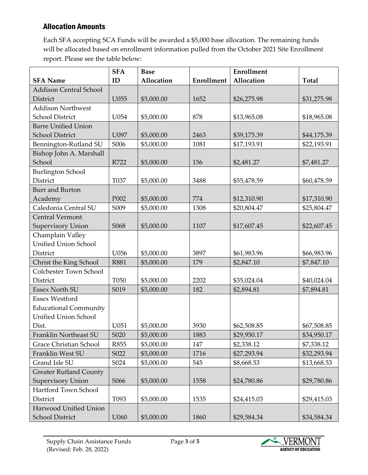## <span id="page-2-0"></span>Allocation Amounts

Each SFA accepting SCA Funds will be awarded a \$5,000 base allocation. The remaining funds will be allocated based on enrollment information pulled from the October 2021 Site Enrollment report. Please see the table below:

|                               | <b>SFA</b>                    | <b>Base</b> |            | <b>Enrollment</b> |              |
|-------------------------------|-------------------------------|-------------|------------|-------------------|--------------|
| <b>SFA Name</b>               | ID                            | Allocation  | Enrollment | Allocation        | <b>Total</b> |
| <b>Addison Central School</b> |                               |             |            |                   |              |
| <b>District</b>               | U055                          | \$5,000.00  | 1652       | \$26,275.98       | \$31,275.98  |
| <b>Addison Northwest</b>      |                               |             |            |                   |              |
| School District               | U054                          | \$5,000.00  | 878        | \$13,965.08       | \$18,965.08  |
| <b>Barre Unified Union</b>    |                               |             |            |                   |              |
| <b>School District</b>        | U097                          | \$5,000.00  | 2463       | \$39,175.39       | \$44,175.39  |
| Bennington-Rutland SU         | S006                          | \$5,000.00  | 1081       | \$17,193.91       | \$22,193.91  |
| Bishop John A. Marshall       |                               |             |            |                   |              |
| School                        | R722                          | \$5,000.00  | 156        | \$2,481.27        | \$7,481.27   |
| <b>Burlington School</b>      |                               |             |            |                   |              |
| <b>District</b>               | T037                          | \$5,000.00  | 3488       | \$55,478.59       | \$60,478.59  |
| <b>Burr</b> and Burton        |                               |             |            |                   |              |
| Academy                       | P002                          | \$5,000.00  | 774        | \$12,310.90       | \$17,310.90  |
| Caledonia Central SU          | S009                          | \$5,000.00  | 1308       | \$20,804.47       | \$25,804.47  |
| <b>Central Vermont</b>        |                               |             |            |                   |              |
| <b>Supervisory Union</b>      | S068                          | \$5,000.00  | 1107       | \$17,607.45       | \$22,607.45  |
| Champlain Valley              |                               |             |            |                   |              |
| <b>Unified Union School</b>   |                               |             |            |                   |              |
| District                      | U056                          | \$5,000.00  | 3897       | \$61,983.96       | \$66,983.96  |
| Christ the King School        | <b>R881</b>                   | \$5,000.00  | 179        | \$2,847.10        | \$7,847.10   |
| Colchester Town School        |                               |             |            |                   |              |
| District                      | T050                          | \$5,000.00  | 2202       | \$35,024.04       | \$40,024.04  |
| <b>Essex North SU</b>         | S019                          | \$5,000.00  | 182        | \$2,894.81        | \$7,894.81   |
| <b>Essex Westford</b>         |                               |             |            |                   |              |
| <b>Educational Community</b>  |                               |             |            |                   |              |
| <b>Unified Union School</b>   |                               |             |            |                   |              |
| Dist.                         | U051                          | \$5,000.00  | 3930       | \$62,508.85       | \$67,508.85  |
| Franklin Northeast SU         | S <sub>0</sub> 2 <sub>0</sub> | \$5,000.00  | 1883       | \$29,950.17       | \$34,950.17  |
| <b>Grace Christian School</b> | R855                          | \$5,000.00  | 147        | \$2,338.12        | \$7,338.12   |
| Franklin West SU              | S022                          | \$5,000.00  | 1716       | \$27,293.94       | \$32,293.94  |
| Grand Isle SU                 | S024                          | \$5,000.00  | 545        | \$8,668.53        | \$13,668.53  |
| <b>Greater Rutland County</b> |                               |             |            |                   |              |
| Supervisory Union             | S066                          | \$5,000.00  | 1558       | \$24,780.86       | \$29,780.86  |
| Hartford Town School          |                               |             |            |                   |              |
| District                      | T093                          | \$5,000.00  | 1535       | \$24,415.03       | \$29,415.03  |
| Harwood Unified Union         |                               |             |            |                   |              |
| <b>School District</b>        | U060                          | \$5,000.00  | 1860       | \$29,584.34       | \$34,584.34  |

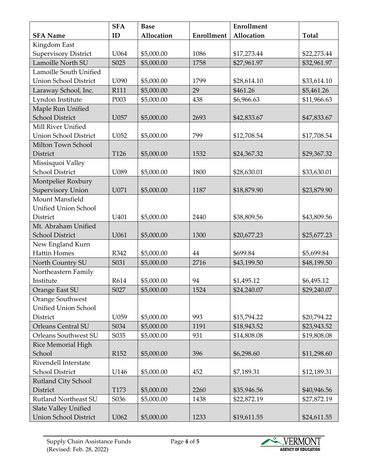|                              | <b>SFA</b> | <b>Base</b> |            | <b>Enrollment</b> |              |
|------------------------------|------------|-------------|------------|-------------------|--------------|
| <b>SFA Name</b>              | ID         | Allocation  | Enrollment | Allocation        | <b>Total</b> |
| Kingdom East                 |            |             |            |                   |              |
| <b>Supervisory District</b>  | U064       | \$5,000.00  | 1086       | \$17,273.44       | \$22,273.44  |
| Lamoille North SU            | S025       | \$5,000.00  | 1758       | \$27,961.97       | \$32,961.97  |
| Lamoille South Unified       |            |             |            |                   |              |
| <b>Union School District</b> | U090       | \$5,000.00  | 1799       | \$28,614.10       | \$33,614.10  |
| Laraway School, Inc.         | R111       | \$5,000.00  | 29         | \$461.26          | \$5,461.26   |
| Lyndon Institute             | P003       | \$5,000.00  | 438        | \$6,966.63        | \$11,966.63  |
| Maple Run Unified            |            |             |            |                   |              |
| <b>School District</b>       | U057       | \$5,000.00  | 2693       | \$42,833.67       | \$47,833.67  |
| Mill River Unified           |            |             |            |                   |              |
| <b>Union School District</b> | U052       | \$5,000.00  | 799        | \$12,708.54       | \$17,708.54  |
| Milton Town School           |            |             |            |                   |              |
| District                     | T126       | \$5,000.00  | 1532       | \$24,367.32       | \$29,367.32  |
| Missisquoi Valley            |            |             |            |                   |              |
| <b>School District</b>       | U089       | \$5,000.00  | 1800       | \$28,630.01       | \$33,630.01  |
| Montpelier Roxbury           |            |             |            |                   |              |
| Supervisory Union            | U071       | \$5,000.00  | 1187       | \$18,879.90       | \$23,879.90  |
| Mount Mansfield              |            |             |            |                   |              |
| Unified Union School         |            |             |            |                   |              |
| District                     | U401       | \$5,000.00  | 2440       | \$38,809.56       | \$43,809.56  |
| Mt. Abraham Unified          |            |             |            |                   |              |
| <b>School District</b>       | U061       | \$5,000.00  | 1300       | \$20,677.23       | \$25,677.23  |
| New England Kurn             |            |             |            |                   |              |
| <b>Hattin Homes</b>          | R342       | \$5,000.00  | 44         | \$699.84          | \$5,699.84   |
| North Country SU             | S031       | \$5,000.00  | 2716       | \$43,199.50       | \$48,199.50  |
| Northeastern Family          |            |             |            |                   |              |
| Institute                    | R614       | \$5,000.00  | 94         | \$1,495.12        | \$6,495.12   |
| Orange East SU               | S027       | \$5,000.00  | 1524       | \$24,240.07       | \$29,240.07  |
| Orange Southwest             |            |             |            |                   |              |
| Unified Union School         |            |             |            |                   |              |
| District                     | U059       | \$5,000.00  | 993        | \$15,794.22       | \$20,794.22  |
| Orleans Central SU           | S034       | \$5,000.00  | 1191       | \$18,943.52       | \$23,943.52  |
| Orleans Southwest SU         | S035       | \$5,000.00  | 931        | \$14,808.08       | \$19,808.08  |
| <b>Rice Memorial High</b>    |            |             |            |                   |              |
| School                       | R152       | \$5,000.00  | 396        | \$6,298.60        | \$11,298.60  |
| Rivendell Interstate         |            |             |            |                   |              |
| <b>School District</b>       | U146       | \$5,000.00  | 452        | \$7,189.31        | \$12,189.31  |
| Rutland City School          |            |             |            |                   |              |
| District                     | T173       | \$5,000.00  | 2260       | \$35,946.56       | \$40,946.56  |
| Rutland Northeast SU         | S036       | \$5,000.00  | 1438       | \$22,872.19       | \$27,872.19  |
| Slate Valley Unified         |            |             |            |                   |              |
| <b>Union School District</b> | U062       | \$5,000.00  | 1233       | \$19,611.55       | \$24,611.55  |